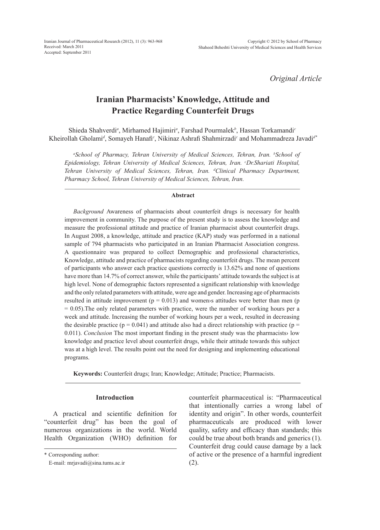*Original Article*

# **Iranian Pharmacists' Knowledge, Attitude and Practice Regarding Counterfeit Drugs**

Shieda Shahverdi*<sup>a</sup>* , Mirhamed Hajimiri*<sup>a</sup>* , Farshad Pourmalek*<sup>b</sup>* , Hassan Torkamandi*<sup>c</sup>* Kheirollah Gholami*<sup>d</sup>* , Somayeh Hanafi*<sup>c</sup>* , Nikinaz Ashrafi Shahmirzadi*<sup>c</sup>* and Mohammadreza Javadi*d\**

*a School of Pharmacy, Tehran University of Medical Sciences, Tehran, Iran. b School of Epidemiology, Tehran University of Medical Sciences, Tehran, Iran. c Dr.Shariati Hospital, Tehran University of Medical Sciences, Tehran, Iran. d Clinical Pharmacy Department, Pharmacy School, Tehran University of Medical Sciences, Tehran, Iran.*

#### **Abstract**

*Background* Awareness of pharmacists about counterfeit drugs is necessary for health improvement in community. The purpose of the present study is to assess the knowledge and measure the professional attitude and practice of Iranian pharmacist about counterfeit drugs. In August 2008, a knowledge, attitude and practice (KAP) study was performed in a national sample of 794 pharmacists who participated in an Iranian Pharmacist Association congress. A questionnaire was prepared to collect Demographic and professional characteristics, Knowledge, attitude and practice of pharmacists regarding counterfeit drugs. The mean percent of participants who answer each practice questions correctly is 13.62% and none of questions have more than 14.7% of correct answer, while the participants' attitude towards the subject is at high level. None of demographic factors represented a significant relationship with knowledge and the only related parameters with attitude, were age and gender. Increasing age of pharmacists resulted in attitude improvement ( $p = 0.013$ ) and women's attitudes were better than men ( $p$ ) = 0.05).The only related parameters with practice, were the number of working hours per a week and attitude. Increasing the number of working hours per a week, resulted in decreasing the desirable practice ( $p = 0.041$ ) and attitude also had a direct relationship with practice ( $p =$ 0.011). *Conclusion* The most important finding in the present study was the pharmacists› low knowledge and practice level about counterfeit drugs, while their attitude towards this subject was at a high level. The results point out the need for designing and implementing educational programs.

**Keywords:** Counterfeit drugs; Iran; Knowledge; Attitude; Practice; Pharmacists.

## **Introduction**

A practical and scientific definition for "counterfeit drug" has been the goal of numerous organizations in the world. World Health Organization (WHO) definition for counterfeit pharmaceutical is: "Pharmaceutical that intentionally carries a wrong label of identity and origin". In other words, counterfeit pharmaceuticals are produced with lower quality, safety and efficacy than standards; this could be true about both brands and generics (1). Counterfeit drug could cause damage by a lack of active or the presence of a harmful ingredient (2).

<sup>\*</sup> Corresponding author:

E-mail: mrjavadi@sina.tums.ac.ir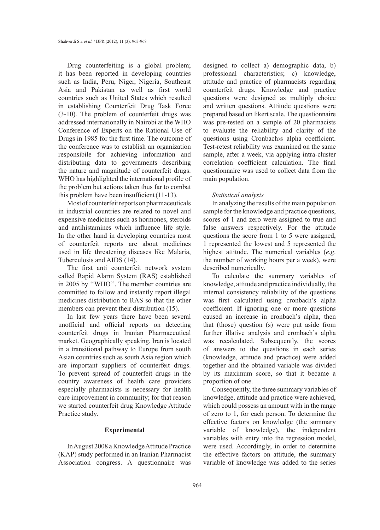Drug counterfeiting is a global problem; it has been reported in developing countries such as India, Peru, Niger, Nigeria, Southeast Asia and Pakistan as well as first world countries such as United States which resulted in establishing Counterfeit Drug Task Force (3-10). The problem of counterfeit drugs was addressed internationally in Nairobi at the WHO Conference of Experts on the Rational Use of Drugs in 1985 for the first time. The outcome of the conference was to establish an organization responsibile for achieving information and distributing data to governments describing the nature and magnitude of counterfeit drugs. WHO has highlighted the international profile of the problem but actions taken thus far to combat this problem have been insufficient(11-13).

Most of counterfeit reports on pharmaceuticals in industrial countries are related to novel and expensive medicines such as hormones, steroids and antihistamines which influence life style. In the other hand in developing countries most of counterfeit reports are about medicines used in life threatening diseases like Malaria, Tuberculosis and AIDS (14).

The first anti counterfeit network system called Rapid Alarm System (RAS) established in 2005 by ''WHO''. The member countries are committed to follow and instantly report illegal medicines distribution to RAS so that the other members can prevent their distribution (15).

In last few years there have been several unofficial and official reports on detecting counterfeit drugs in Iranian Pharmaceutical market. Geographically speaking, Iran is located in a transitional pathway to Europe from south Asian countries such as south Asia region which are important suppliers of counterfeit drugs. To prevent spread of counterfeit drugs in the country awareness of health care providers especially pharmacists is necessary for health care improvement in community; for that reason we started counterfeit drug Knowledge Attitude Practice study.

## **Experimental**

In August 2008 a Knowledge Attitude Practice (KAP) study performed in an Iranian Pharmacist Association congress. A questionnaire was designed to collect a) demographic data, b) professional characteristics; c) knowledge, attitude and practice of pharmacists regarding counterfeit drugs. Knowledge and practice questions were designed as multiply choice and written questions. Attitude questions were prepared based on likert scale. The questionnaire was pre-tested on a sample of 20 pharmacists to evaluate the reliability and clarity of the questions using Cronbach›s alpha coefficient. Test-retest reliability was examined on the same sample, after a week, via applying intra-cluster correlation coefficient calculation. The final questionnaire was used to collect data from the main population.

### *Statistical analysis*

In analyzing the results of the main population sample for the knowledge and practice questions, scores of 1 and zero were assigned to true and false answers respectively. For the attitude questions the score from 1 to 5 were assigned, 1 represented the lowest and 5 represented the highest attitude. The numerical variables (*e.g*. the number of working hours per a week), were described numerically.

To calculate the summary variables of knowledge, attitude and practice individually, the internal consistency reliability of the questions was first calculated using cronbach's alpha coefficient. If ignoring one or more questions caused an increase in cronbach's alpha, then that (those) question (s) were put aside from further illative analysis and cronbach's alpha was recalculated. Subsequently, the scores of answers to the questions in each series (knowledge, attitude and practice) were added together and the obtained variable was divided by its maximum score, so that it became a proportion of one.

Consequently, the three summary variables of knowledge, attitude and practice were achieved, which could possess an amount with in the range of zero to 1, for each person. To determine the effective factors on knowledge (the summary variable of knowledge), the independent variables with entry into the regression model, were used. Accordingly, in order to determine the effective factors on attitude, the summary variable of knowledge was added to the series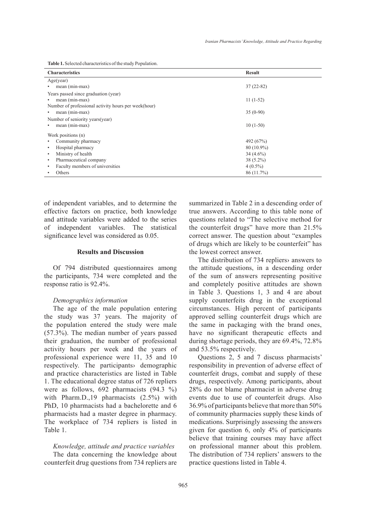**Table 1.** Selected characteristics of the study Population.

| <b>Characteristics</b>                                | <b>Result</b> |
|-------------------------------------------------------|---------------|
| Age(year)                                             |               |
| mean (min-max)                                        | $37(22-82)$   |
| Years passed since graduation (year)                  |               |
| mean (min-max)                                        | $11(1-52)$    |
| Number of professional activity hours per week (hour) |               |
| mean (min-max)                                        | $35(0-90)$    |
| Number of seniority years (year)                      |               |
| mean (min-max)                                        | $10(1-50)$    |
| Work positions (n)                                    |               |
| Community pharmacy                                    | 492 (67%)     |
| Hospital pharmacy                                     | $80(10.9\%)$  |
| Ministry of health<br>٠                               | $34(4.6\%)$   |
| Pharmaceutical company<br>$\bullet$                   | $38(5.2\%)$   |
| Faculty members of universities                       | $4(0.5\%)$    |
| Others                                                | 86(11.7%)     |

of independent variables, and to determine the effective factors on practice, both knowledge and attitude variables were added to the series of independent variables. The statistical significance level was considered as 0.05.

## **Results and Discussion**

Of 794 distributed questionnaires among the participants, 734 were completed and the response ratio is 92.4%.

### *Demographics information*

The age of the male population entering the study was 37 years. The majority of the population entered the study were male (57.3%). The median number of years passed their graduation, the number of professional activity hours per week and the years of professional experience were 11, 35 and 10 respectively. The participants› demographic and practice characteristics are listed in Table 1. The educational degree status of 726 repliers were as follows,  $692$  pharmacists  $(94.3 \%)$ with Pharm.D.,19 pharmacists (2.5%) with PhD, 10 pharmacists had a bachelorette and 6 pharmacists had a master degree in pharmacy. The workplace of 734 repliers is listed in Table 1.

#### *Knowledge, attitude and practice variables*

The data concerning the knowledge about counterfeit drug questions from 734 repliers are summarized in Table 2 in a descending order of true answers. According to this table none of questions related to "The selective method for the counterfeit drugs" have more than 21.5% correct answer. The question about "examples of drugs which are likely to be counterfeit" has the lowest correct answer.

The distribution of 734 repliers› answers to the attitude questions, in a descending order of the sum of answers representing positive and completely positive attitudes are shown in Table 3. Questions 1, 3 and 4 are about supply counterfeits drug in the exceptional circumstances. High percent of participants approved selling counterfeit drugs which are the same in packaging with the brand ones, have no significant therapeutic effects and during shortage periods, they are 69.4%, 72.8% and 53.5% respectively.

Questions 2, 5 and 7 discuss pharmacists' responsibility in prevention of adverse effect of counterfeit drugs, combat and supply of these drugs, respectively. Among participants, about 28% do not blame pharmacist in adverse drug events due to use of counterfeit drugs. Also 36.9% of participants believe that more than 50% of community pharmacies supply these kinds of medications. Surprisingly assessing the answers given for question 6, only 4% of participants believe that training courses may have affect on professional manner about this problem. The distribution of 734 repliers' answers to the practice questions listed in Table 4.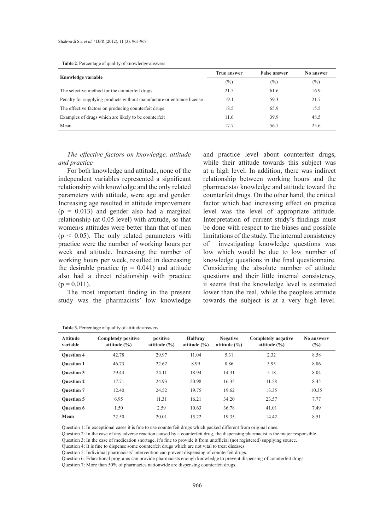|  |  |  | <b>Table 2.</b> Percentage of quality of knowledge answers. |
|--|--|--|-------------------------------------------------------------|
|--|--|--|-------------------------------------------------------------|

|                                                                        | <b>True answer</b> | <b>False answer</b> | No answer |
|------------------------------------------------------------------------|--------------------|---------------------|-----------|
| Knowledge variable                                                     | $(\%)$             | $(\%)$              | $(\%)$    |
| The selective method for the counterfeit drugs                         | 21.5               | 61.6                | 16.9      |
| Penalty for supplying products without manufacture or entrance license | 19.1               | 59.3                | 21.7      |
| The effective factors on producing counterfeit drugs                   | 18.5               | 65.9                | 15.5      |
| Examples of drugs which are likely to be counterfeit                   | 11.6               | 39.9                | 48.5      |
| Mean                                                                   | 17.7               | 56.7                | 25.6      |

## *The effective factors on knowledge, attitude and practice*

For both knowledge and attitude, none of the independent variables represented a significant relationship with knowledge and the only related parameters with attitude, were age and gender. Increasing age resulted in attitude improvement  $(p = 0.013)$  and gender also had a marginal relationship (at 0.05 level) with attitude, so that women›s attitudes were better than that of men  $(p < 0.05)$ . The only related parameters with practice were the number of working hours per week and attitude. Increasing the number of working hours per week, resulted in decreasing the desirable practice  $(p = 0.041)$  and attitude also had a direct relationship with practice  $(p = 0.011)$ .

The most important finding in the present study was the pharmacists' low knowledge

and practice level about counterfeit drugs, while their attitude towards this subject was at a high level. In addition, there was indirect relationship between working hours and the pharmacists› knowledge and attitude toward the counterfeit drugs. On the other hand, the critical factor which had increasing effect on practice level was the level of appropriate attitude. Interpretation of current study's findings must be done with respect to the biases and possible limitations of the study. The internal consistency of investigating knowledge questions was low which would be due to low number of knowledge questions in the final questionnaire. Considering the absolute number of attitude questions and their little internal consistency, it seems that the knowledge level is estimated lower than the real, while the people›s attitude towards the subject is at a very high level.

| <b>Attitude</b><br>variable | <b>Completely positive</b><br>attitude $(\% )$ | positive<br>attitude $(\% )$ | <b>Halfway</b><br>attitude $(\% )$ | <b>Negative</b><br>attitude $(\% )$ | <b>Completely negative</b><br>attitude $(\% )$ | No answery<br>$(\%)$ |
|-----------------------------|------------------------------------------------|------------------------------|------------------------------------|-------------------------------------|------------------------------------------------|----------------------|
| <b>Ouestion 4</b>           | 42.78                                          | 29.97                        | 11.04                              | 5.31                                | 2.32                                           | 8.58                 |
| <b>Ouestion 1</b>           | 46.73                                          | 22.62                        | 8.99                               | 8.86                                | 3.95                                           | 8.86                 |
| <b>Ouestion 3</b>           | 29.43                                          | 24.11                        | 18.94                              | 14.31                               | 5.18                                           | 8.04                 |
| <b>Ouestion 2</b>           | 17.71                                          | 24.93                        | 20.98                              | 16.35                               | 11.58                                          | 8.45                 |
| <b>Ouestion 7</b>           | 12.40                                          | 24.52                        | 19.75                              | 19.62                               | 13.35                                          | 10.35                |
| <b>Ouestion 5</b>           | 6.95                                           | 11.31                        | 16.21                              | 34.20                               | 23.57                                          | 7.77                 |
| <b>Ouestion 6</b>           | 1.50                                           | 2.59                         | 10.63                              | 36.78                               | 41.01                                          | 7.49                 |
| Mean                        | 22.50                                          | 20.01                        | 15.22                              | 19.35                               | 14.42                                          | 8.51                 |

Question 1: In exceptional cases it is fine to use counterfeit drugs which packed different from original ones.

Question 2: In the case of any adverse reaction caused by a counterfeit drug, the dispensing pharmacist is the major responsible.

Question 3: In the case of medication shortage, it's fine to provide it from unofficial (not registered) supplying source.

Question 4: It is fine to dispense some counterfeit drugs which are not vital to treat diseases.

Question 5: Individual pharmacists' intervention can prevent dispensing of counterfeit drugs.

Question 6: Educational programs can provide pharmacists enough knowledge to prevent dispensing of counterfeit drugs.

Question 7: More than 50% of pharmacies nationwide are dispensing counterfeit drugs.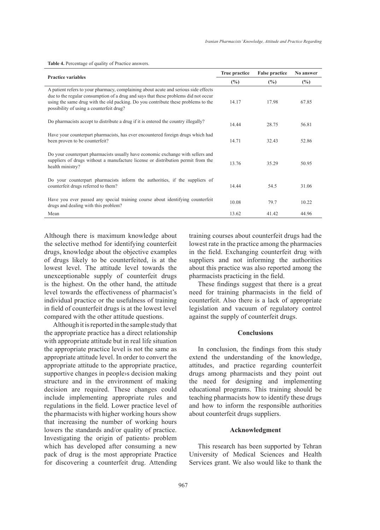**Table 4.** Percentage of quality of Practice answers.

| <b>Practice variables</b>                                                                                                                                                                                                                                                                                   | True practice | <b>False practice</b> | No answer |
|-------------------------------------------------------------------------------------------------------------------------------------------------------------------------------------------------------------------------------------------------------------------------------------------------------------|---------------|-----------------------|-----------|
|                                                                                                                                                                                                                                                                                                             | $(\%)$        | $\frac{6}{2}$         | (%)       |
| A patient refers to your pharmacy, complaining about acute and serious side effects<br>due to the regular consumption of a drug and says that these problems did not occur<br>using the same drug with the old packing. Do you contribute these problems to the<br>possibility of using a counterfeit drug? | 14.17         | 17.98                 | 67.85     |
| Do pharmacists accept to distribute a drug if it is entered the country illegally?                                                                                                                                                                                                                          | 14.44         | 28.75                 | 56.81     |
| Have your counterpart pharmacists, has ever encountered foreign drugs which had<br>been proven to be counterfeit?                                                                                                                                                                                           | 14.71         | 32.43                 | 52.86     |
| Do your counterpart pharmacists usually have economic exchange with sellers and<br>suppliers of drugs without a manufacture license or distribution permit from the<br>health ministry?                                                                                                                     | 13.76         | 35.29                 | 50.95     |
| Do your counterpart pharmacists inform the authorities, if the suppliers of<br>counterfeit drugs referred to them?                                                                                                                                                                                          | 14.44         | 54.5                  | 31.06     |
| Have you ever passed any special training course about identifying counterfeit<br>drugs and dealing with this problem?                                                                                                                                                                                      | 10.08         | 79.7                  | 10.22     |
| Mean                                                                                                                                                                                                                                                                                                        | 13.62         | 41.42                 | 44.96     |

Although there is maximum knowledge about the selective method for identifying counterfeit drugs, knowledge about the objective examples of drugs likely to be counterfeited, is at the lowest level. The attitude level towards the unexceptionable supply of counterfeit drugs is the highest. On the other hand, the attitude level towards the effectiveness of pharmacist's individual practice or the usefulness of training in field of counterfeit drugs is at the lowest level compared with the other attitude questions.

Although it is reported in the sample study that the appropriate practice has a direct relationship with appropriate attitude but in real life situation the appropriate practice level is not the same as appropriate attitude level. In order to convert the appropriate attitude to the appropriate practice, supportive changes in people›s decision making structure and in the environment of making decision are required. These changes could include implementing appropriate rules and regulations in the field. Lower practice level of the pharmacists with higher working hours show that increasing the number of working hours lowers the standards and/or quality of practice. Investigating the origin of patients› problem which has developed after consuming a new pack of drug is the most appropriate Practice for discovering a counterfeit drug. Attending

training courses about counterfeit drugs had the lowest rate in the practice among the pharmacies in the field. Exchanging counterfeit drug with suppliers and not informing the authorities about this practice was also reported among the pharmacists practicing in the field.

These findings suggest that there is a great need for training pharmacists in the field of counterfeit. Also there is a lack of appropriate legislation and vacuum of regulatory control against the supply of counterfeit drugs.

## **Conclusions**

In conclusion, the findings from this study extend the understanding of the knowledge, attitudes, and practice regarding counterfeit drugs among pharmacists and they point out the need for designing and implementing educational programs. This training should be teaching pharmacists how to identify these drugs and how to inform the responsible authorities about counterfeit drugs suppliers.

# **Acknowledgment**

This research has been supported by Tehran University of Medical Sciences and Health Services grant. We also would like to thank the